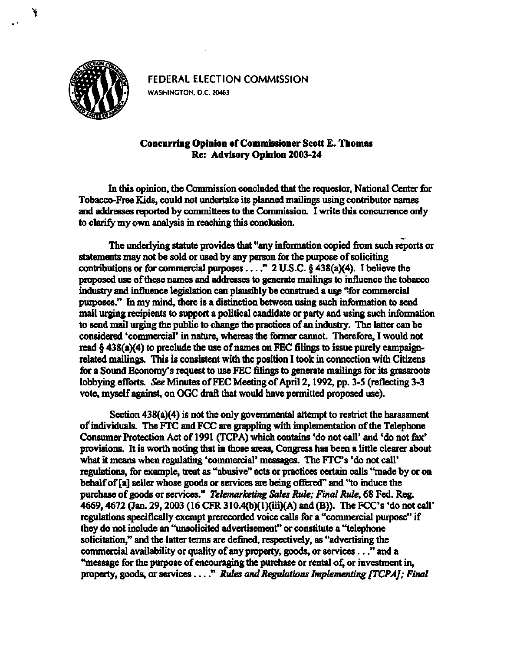

**FEDERAL ELECTION COMMISSION WASHINGTON. D.C. 20463** 

## **Concurring Opinion of Commissioner Scott E. Thomas Re: Advisory Opinion 2003-24**

**In this opinion, the Commission concluded that the requestor, National Center for Tobacco-Free Kids, could not undertake its planned mailings using contributor names and addresses reported by committees to the Commission. I write this concurrence only to clarify my own analysis in reaching this conclusion.** 

The underlying statute provides that "any information copied from such reports or **statements may not be sold or used by any person for the purpose of soliciting**  contributions or for commercial purposes . . . ." 2 U.S.C. § 438(a)(4). I believe the **proposed use of these names and addresses to generate mailings to influence the tobacco**  industry and influence legislation can plausibly be construed a use "for commercial **purposes." In my mind, there is a distinction between using such information to send mail urging recipients to support a political candidate or party and using such information to send mail urging the public to change the practices of an industry. The latter can be considered 'commercial' in nature, whereas the former cannot. Therefore, I would not read § 438(a)(4) to preclude the use of names on FEC filings to issue purely campaignrelated mailings. This is consistent with the position I took in connection with Citizens for a Sound Economy's request to use FEC filings to generate mailings for its grassroots lobbying efforts.** *See* **Minutes of FEC Meeting of April 2,1992, pp. 3-5 (reflecting 3-3 vote, myself against, on OGC draft that would have permitted proposed use).** 

**Section 438(a)(4) is not the only governmental attempt to restrict the harassment of individuals. The FTC and FCC are grappling with implementation of the Telephone Consumer Protection Act of 1991 (TCPA) which contains 'do not call' and 'do not fax' provisions. It is worth noting that in those areas, Congress has been a little clearer about what it means when regulating 'commercial' messages. The FTC's 'do not call' regulations, for example, treat as "abusive" acts or practices certain calls "made by or on behalf of [a] seller whose goods or services are being offered" and "to induce the purchase of goods or services."** *Telemarketing Sales Rule; Final Rule,* **68 Fed. Reg. 4669,4672 (Jan. 29,2003 (16 CFR 310.4(b)(l)(iii)(A) and (B)). The FCC's 'do not call' regulations specifically exempt prerecorded voice calls for a "commercial purpose" if they do not include an "unsolicited advertisement" or constitute a "telephone solicitation," and the latter terms are defined, respectively, as "advertising the commercial availability or quality of any property, goods, or services..." and a "message for the purpose of encouraging the purchase or rental of, or investment in,**  property, goods, or services . . . " Rules and Regulations Implementing [TCPA]; Final